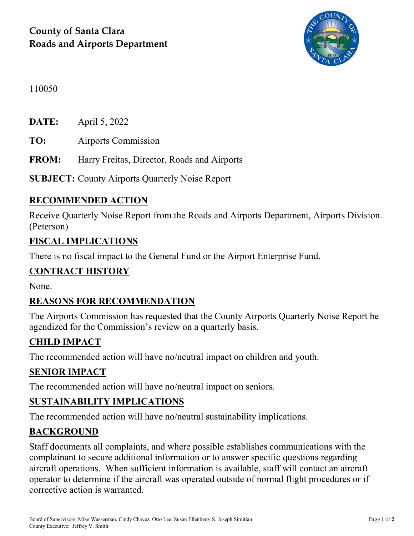

110050

**DATE:** April 5, 2022

**TO:** Airports Commission

**FROM:** Harry Freitas, Director, Roads and Airports

**SUBJECT:** County Airports Quarterly Noise Report

## **RECOMMENDED ACTION**

Receive Quarterly Noise Report from the Roads and Airports Department, Airports Division. (Peterson)

#### **FISCAL IMPLICATIONS**

There is no fiscal impact to the General Fund or the Airport Enterprise Fund.

#### **CONTRACT HISTORY**

None.

#### **REASONS FOR RECOMMENDATION**

The Airports Commission has requested that the County Airports Quarterly Noise Report be agendized for the Commission's review on a quarterly basis.

## **CHILD IMPACT**

The recommended action will have no/neutral impact on children and youth.

#### **SENIOR IMPACT**

The recommended action will have no/neutral impact on seniors.

#### **SUSTAINABILITY IMPLICATIONS**

The recommended action will have no/neutral sustainability implications.

#### **BACKGROUND**

Staff documents all complaints, and where possible establishes communications with the complainant to secure additional information or to answer specific questions regarding aircraft operations. When sufficient information is available, staff will contact an aircraft operator to determine if the aircraft was operated outside of normal flight procedures or if corrective action is warranted.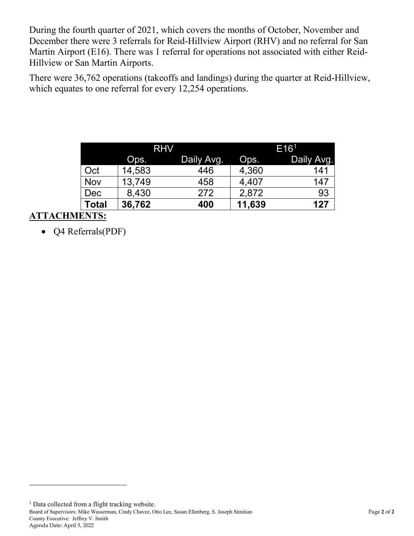During the fourth quarter of 2021, which covers the months of October, November and December there were 3 referrals for Reid-Hillview Airport (RHV) and no referral for San Martin Airport (E16). There was 1 referral for operations not associated with either Reid-Hillview or San Martin Airports.

There were 36,762 operations (takeoffs and landings) during the quarter at Reid-Hillview, which equates to one referral for every 12,254 operations.

|              | <b>RHV</b> |            | E16 <sup>1</sup> |            |
|--------------|------------|------------|------------------|------------|
|              | Ops.       | Daily Avg. | Ops.             | Daily Avg. |
| Oct          | 14,583     | 446        | 4,360            | 141        |
| <b>Nov</b>   | 13,749     | 458        | 4,407            | 147        |
| Dec          | 8,430      | 272        | 2,872            | 93         |
| <b>Total</b> | 36,762     | 400        | 11,639           | 127        |

## **ATTACHMENTS:**

 $\overline{a}$ 

• Q4 Referrals(PDF)

<span id="page-1-0"></span>Board of Supervisors: Mike Wasserman, Cindy Chavez, Otto Lee, Susan Ellenberg, S. Joseph Simitian Page **2** of **2** County Executive: Jeffrey V. Smith Agenda Date: April 5, 2022 <sup>1</sup> Data collected from a flight tracking website.